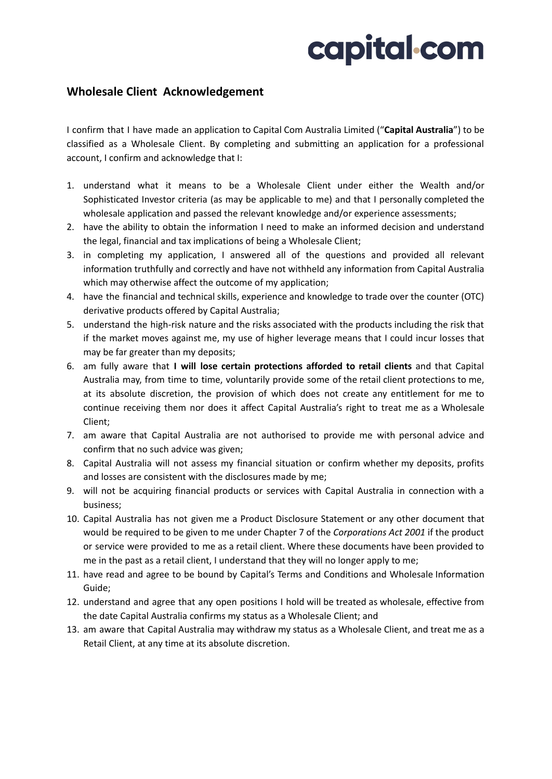## capital com

## **Wholesale Client Acknowledgement**

I confirm that I have made an application to Capital Com Australia Limited ("**Capital Australia**") to be classified as a Wholesale Client. By completing and submitting an application for a professional account, I confirm and acknowledge that I:

- 1. understand what it means to be a Wholesale Client under either the Wealth and/or Sophisticated Investor criteria (as may be applicable to me) and that I personally completed the wholesale application and passed the relevant knowledge and/or experience assessments;
- 2. have the ability to obtain the information I need to make an informed decision and understand the legal, financial and tax implications of being a Wholesale Client;
- 3. in completing my application, I answered all of the questions and provided all relevant information truthfully and correctly and have not withheld any information from Capital Australia which may otherwise affect the outcome of my application;
- 4. have the financial and technical skills, experience and knowledge to trade over the counter (OTC) derivative products offered by Capital Australia;
- 5. understand the high-risk nature and the risks associated with the products including the risk that if the market moves against me, my use of higher leverage means that I could incur losses that may be far greater than my deposits;
- 6. am fully aware that **I will lose certain protections afforded to retail clients** and that Capital Australia may, from time to time, voluntarily provide some of the retail client protections to me, at its absolute discretion, the provision of which does not create any entitlement for me to continue receiving them nor does it affect Capital Australia's right to treat me as a Wholesale Client;
- 7. am aware that Capital Australia are not authorised to provide me with personal advice and confirm that no such advice was given;
- 8. Capital Australia will not assess my financial situation or confirm whether my deposits, profits and losses are consistent with the disclosures made by me;
- 9. will not be acquiring financial products or services with Capital Australia in connection with a business;
- 10. Capital Australia has not given me a Product Disclosure Statement or any other document that would be required to be given to me under Chapter 7 of the *Corporations Act 2001* if the product or service were provided to me as a retail client. Where these documents have been provided to me in the past as a retail client, I understand that they will no longer apply to me;
- 11. have read and agree to be bound by Capital's Terms and Conditions and Wholesale Information Guide;
- 12. understand and agree that any open positions I hold will be treated as wholesale, effective from the date Capital Australia confirms my status as a Wholesale Client; and
- 13. am aware that Capital Australia may withdraw my status as a Wholesale Client, and treat me as a Retail Client, at any time at its absolute discretion.